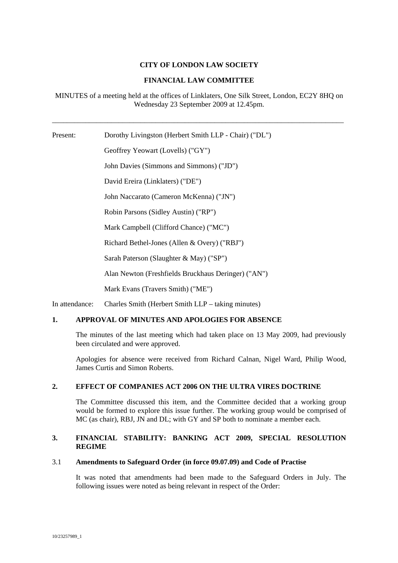# **CITY OF LONDON LAW SOCIETY**

# **FINANCIAL LAW COMMITTEE**

MINUTES of a meeting held at the offices of Linklaters, One Silk Street, London, EC2Y 8HQ on Wednesday 23 September 2009 at 12.45pm.

\_\_\_\_\_\_\_\_\_\_\_\_\_\_\_\_\_\_\_\_\_\_\_\_\_\_\_\_\_\_\_\_\_\_\_\_\_\_\_\_\_\_\_\_\_\_\_\_\_\_\_\_\_\_\_\_\_\_\_\_\_\_\_\_\_\_\_\_\_\_\_\_\_\_\_\_\_\_\_

Present: Dorothy Livingston (Herbert Smith LLP - Chair) ("DL") Geoffrey Yeowart (Lovells) ("GY") John Davies (Simmons and Simmons) ("JD") David Ereira (Linklaters) ("DE") John Naccarato (Cameron McKenna) ("JN") Robin Parsons (Sidley Austin) ("RP") Mark Campbell (Clifford Chance) ("MC") Richard Bethel-Jones (Allen & Overy) ("RBJ") Sarah Paterson (Slaughter & May) ("SP") Alan Newton (Freshfields Bruckhaus Deringer) ("AN") Mark Evans (Travers Smith) ("ME")

In attendance: Charles Smith (Herbert Smith LLP – taking minutes)

# **1. APPROVAL OF MINUTES AND APOLOGIES FOR ABSENCE**

The minutes of the last meeting which had taken place on 13 May 2009, had previously been circulated and were approved.

Apologies for absence were received from Richard Calnan, Nigel Ward, Philip Wood, James Curtis and Simon Roberts.

# **2. EFFECT OF COMPANIES ACT 2006 ON THE ULTRA VIRES DOCTRINE**

The Committee discussed this item, and the Committee decided that a working group would be formed to explore this issue further. The working group would be comprised of MC (as chair), RBJ, JN and DL; with GY and SP both to nominate a member each.

# **3. FINANCIAL STABILITY: BANKING ACT 2009, SPECIAL RESOLUTION REGIME**

#### 3.1 **Amendments to Safeguard Order (in force 09.07.09) and Code of Practise**

It was noted that amendments had been made to the Safeguard Orders in July. The following issues were noted as being relevant in respect of the Order: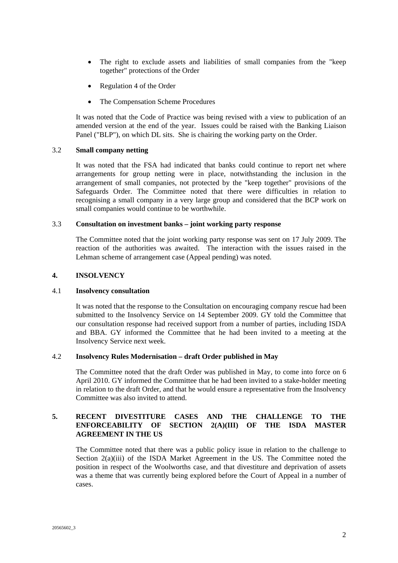- The right to exclude assets and liabilities of small companies from the "keep together" protections of the Order
- Regulation 4 of the Order
- The Compensation Scheme Procedures

It was noted that the Code of Practice was being revised with a view to publication of an amended version at the end of the year. Issues could be raised with the Banking Liaison Panel ("BLP"), on which DL sits. She is chairing the working party on the Order.

## 3.2 **Small company netting**

It was noted that the FSA had indicated that banks could continue to report net where arrangements for group netting were in place, notwithstanding the inclusion in the arrangement of small companies, not protected by the "keep together" provisions of the Safeguards Order. The Committee noted that there were difficulties in relation to recognising a small company in a very large group and considered that the BCP work on small companies would continue to be worthwhile.

### 3.3 **Consultation on investment banks – joint working party response**

The Committee noted that the joint working party response was sent on 17 July 2009. The reaction of the authorities was awaited. The interaction with the issues raised in the Lehman scheme of arrangement case (Appeal pending) was noted.

## **4. INSOLVENCY**

#### 4.1 **Insolvency consultation**

It was noted that the response to the Consultation on encouraging company rescue had been submitted to the Insolvency Service on 14 September 2009. GY told the Committee that our consultation response had received support from a number of parties, including ISDA and BBA. GY informed the Committee that he had been invited to a meeting at the Insolvency Service next week.

### 4.2 **Insolvency Rules Modernisation – draft Order published in May**

The Committee noted that the draft Order was published in May, to come into force on 6 April 2010. GY informed the Committee that he had been invited to a stake-holder meeting in relation to the draft Order, and that he would ensure a representative from the Insolvency Committee was also invited to attend.

# **5. RECENT DIVESTITURE CASES AND THE CHALLENGE TO THE ENFORCEABILITY OF SECTION 2(A)(III) OF THE ISDA MASTER AGREEMENT IN THE US**

The Committee noted that there was a public policy issue in relation to the challenge to Section  $2(a)(iii)$  of the ISDA Market Agreement in the US. The Committee noted the position in respect of the Woolworths case, and that divestiture and deprivation of assets was a theme that was currently being explored before the Court of Appeal in a number of cases.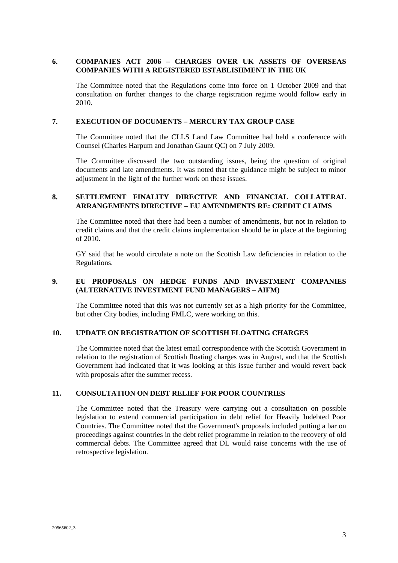# **6. COMPANIES ACT 2006 – CHARGES OVER UK ASSETS OF OVERSEAS COMPANIES WITH A REGISTERED ESTABLISHMENT IN THE UK**

The Committee noted that the Regulations come into force on 1 October 2009 and that consultation on further changes to the charge registration regime would follow early in 2010.

## **7. EXECUTION OF DOCUMENTS – MERCURY TAX GROUP CASE**

The Committee noted that the CLLS Land Law Committee had held a conference with Counsel (Charles Harpum and Jonathan Gaunt QC) on 7 July 2009.

The Committee discussed the two outstanding issues, being the question of original documents and late amendments. It was noted that the guidance might be subject to minor adjustment in the light of the further work on these issues.

# **8. SETTLEMENT FINALITY DIRECTIVE AND FINANCIAL COLLATERAL ARRANGEMENTS DIRECTIVE – EU AMENDMENTS RE: CREDIT CLAIMS**

The Committee noted that there had been a number of amendments, but not in relation to credit claims and that the credit claims implementation should be in place at the beginning of 2010.

GY said that he would circulate a note on the Scottish Law deficiencies in relation to the Regulations.

# **9. EU PROPOSALS ON HEDGE FUNDS AND INVESTMENT COMPANIES (ALTERNATIVE INVESTMENT FUND MANAGERS – AIFM)**

The Committee noted that this was not currently set as a high priority for the Committee, but other City bodies, including FMLC, were working on this.

# **10. UPDATE ON REGISTRATION OF SCOTTISH FLOATING CHARGES**

The Committee noted that the latest email correspondence with the Scottish Government in relation to the registration of Scottish floating charges was in August, and that the Scottish Government had indicated that it was looking at this issue further and would revert back with proposals after the summer recess.

# **11. CONSULTATION ON DEBT RELIEF FOR POOR COUNTRIES**

The Committee noted that the Treasury were carrying out a consultation on possible legislation to extend commercial participation in debt relief for Heavily Indebted Poor Countries. The Committee noted that the Government's proposals included putting a bar on proceedings against countries in the debt relief programme in relation to the recovery of old commercial debts. The Committee agreed that DL would raise concerns with the use of retrospective legislation.